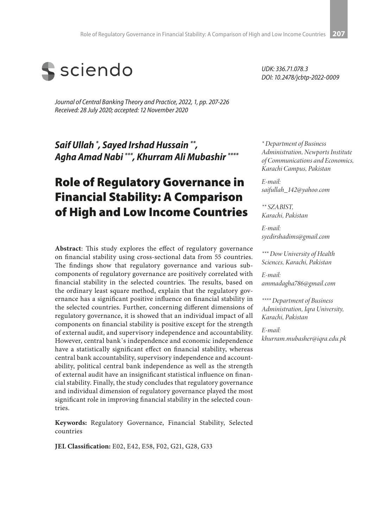

*Journal of Central Banking Theory and Practice, 2022, 1, pp. 207-226 Received: 28 July 2020; accepted: 12 November 2020*

*Saif Ullah \* , Sayed Irshad Hussain \*\*, Agha Amad Nabi \*\*\*, Khurram Ali Mubashir \*\*\*\**

# Role of Regulatory Governance in Financial Stability: A Comparison of High and Low Income Countries

**Abstract**: This study explores the effect of regulatory governance on financial stability using cross-sectional data from 55 countries. The findings show that regulatory governance and various subcomponents of regulatory governance are positively correlated with financial stability in the selected countries. The results, based on the ordinary least square method, explain that the regulatory governance has a significant positive influence on financial stability in the selected countries. Further, concerning different dimensions of regulatory governance, it is showed that an individual impact of all components on financial stability is positive except for the strength of external audit, and supervisory independence and accountability. However, central bank`s independence and economic independence have a statistically significant effect on financial stability, whereas central bank accountability, supervisory independence and accountability, political central bank independence as well as the strength of external audit have an insignificant statistical influence on financial stability. Finally, the study concludes that regulatory governance and individual dimension of regulatory governance played the most significant role in improving financial stability in the selected countries.

**Keywords:** Regulatory Governance, Financial Stability, Selected countries

**JEL Classification:** E02, E42, E58, F02, G21, G28, G33

*UDK: 336.71.078.3 DOI: 10.2478/jcbtp-2022-0009*

*\* Department of Business Administration, Newports Institute of Communications and Economics, Karachi Campus, Pakistan*

*E-mail: saifullah\_142@yahoo.com*

*\*\* SZABIST, Karachi, Pakistan*

*E-mail: syedirshadims@gmail.com*

*\*\*\* Dow University of Health Sciences, Karachi, Pakistan*

*E-mail: ammadagha786@gmail.com*

*\*\*\*\* Department of Business Administration, Iqra University, Karachi, Pakistan*

*E-mail: khurram.mubasher@iqra.edu.pk*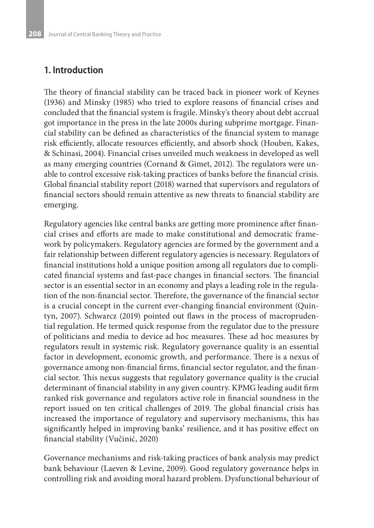#### **1. Introduction**

The theory of financial stability can be traced back in pioneer work of Keynes (1936) and Minsky (1985) who tried to explore reasons of financial crises and concluded that the financial system is fragile. Minsky's theory about debt accrual got importance in the press in the late 2000s during subprime mortgage. Financial stability can be defined as characteristics of the financial system to manage risk efficiently, allocate resources efficiently, and absorb shock (Houben, Kakes, & Schinasi, 2004). Financial crises unveiled much weakness in developed as well as many emerging countries (Cornand & Gimet, 2012). The regulators were unable to control excessive risk-taking practices of banks before the financial crisis. Global financial stability report (2018) warned that supervisors and regulators of financial sectors should remain attentive as new threats to financial stability are emerging.

Regulatory agencies like central banks are getting more prominence after financial crises and efforts are made to make constitutional and democratic framework by policymakers. Regulatory agencies are formed by the government and a fair relationship between different regulatory agencies is necessary. Regulators of financial institutions hold a unique position among all regulators due to complicated financial systems and fast-pace changes in financial sectors. The financial sector is an essential sector in an economy and plays a leading role in the regulation of the non-financial sector. Therefore, the governance of the financial sector is a crucial concept in the current ever-changing financial environment (Quintyn, 2007). Schwarcz (2019) pointed out flaws in the process of macroprudential regulation. He termed quick response from the regulator due to the pressure of politicians and media to device ad hoc measures. These ad hoc measures by regulators result in systemic risk. Regulatory governance quality is an essential factor in development, economic growth, and performance. There is a nexus of governance among non-financial firms, financial sector regulator, and the financial sector. This nexus suggests that regulatory governance quality is the crucial determinant of financial stability in any given country. KPMG leading audit firm ranked risk governance and regulators active role in financial soundness in the report issued on ten critical challenges of 2019. The global financial crisis has increased the importance of regulatory and supervisory mechanisms, this has significantly helped in improving banks' resilience, and it has positive effect on financial stability (Vučinić, 2020)

Governance mechanisms and risk-taking practices of bank analysis may predict bank behaviour (Laeven & Levine, 2009). Good regulatory governance helps in controlling risk and avoiding moral hazard problem. Dysfunctional behaviour of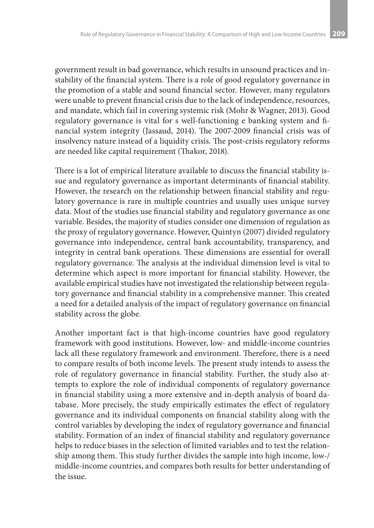government result in bad governance, which results in unsound practices and instability of the financial system. There is a role of good regulatory governance in the promotion of a stable and sound financial sector. However, many regulators were unable to prevent financial crisis due to the lack of independence, resources, and mandate, which fail in covering systemic risk (Mohr & Wagner, 2013). Good regulatory governance is vital for s well-functioning e banking system and financial system integrity (Jassaud, 2014). The 2007-2009 financial crisis was of insolvency nature instead of a liquidity crisis. The post-crisis regulatory reforms are needed like capital requirement (Thakor, 2018).

There is a lot of empirical literature available to discuss the financial stability issue and regulatory governance as important determinants of financial stability. However, the research on the relationship between financial stability and regulatory governance is rare in multiple countries and usually uses unique survey data. Most of the studies use financial stability and regulatory governance as one variable. Besides, the majority of studies consider one dimension of regulation as the proxy of regulatory governance. However, Quintyn (2007) divided regulatory governance into independence, central bank accountability, transparency, and integrity in central bank operations. These dimensions are essential for overall regulatory governance. The analysis at the individual dimension level is vital to determine which aspect is more important for financial stability. However, the available empirical studies have not investigated the relationship between regulatory governance and financial stability in a comprehensive manner. This created a need for a detailed analysis of the impact of regulatory governance on financial stability across the globe.

Another important fact is that high-income countries have good regulatory framework with good institutions. However, low- and middle-income countries lack all these regulatory framework and environment. Therefore, there is a need to compare results of both income levels. The present study intends to assess the role of regulatory governance in financial stability. Further, the study also attempts to explore the role of individual components of regulatory governance in financial stability using a more extensive and in-depth analysis of board database. More precisely, the study empirically estimates the effect of regulatory governance and its individual components on financial stability along with the control variables by developing the index of regulatory governance and financial stability. Formation of an index of financial stability and regulatory governance helps to reduce biases in the selection of limited variables and to test the relationship among them. This study further divides the sample into high income, low-/ middle-income countries, and compares both results for better understanding of the issue.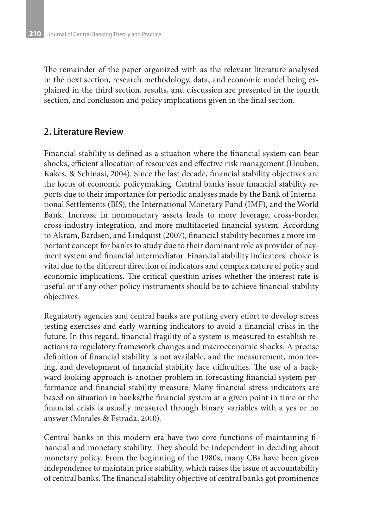The remainder of the paper organized with as the relevant literature analysed in the next section, research methodology, data, and economic model being explained in the third section, results, and discussion are presented in the fourth section, and conclusion and policy implications given in the final section.

#### **2. Literature Review**

Financial stability is defined as a situation where the financial system can bear shocks, efficient allocation of resources and effective risk management (Houben, Kakes, & Schinasi, 2004). Since the last decade, financial stability objectives are the focus of economic policymaking. Central banks issue financial stability reports due to their importance for periodic analyses made by the Bank of International Settlements (BIS), the International Monetary Fund (IMF), and the World Bank. Increase in nonmonetary assets leads to more leverage, cross-border, cross-industry integration, and more multifaceted financial system. According to Akram, Bardsen, and Lindquist (2007), financial stability becomes a more important concept for banks to study due to their dominant role as provider of payment system and financial intermediator. Financial stability indicators` choice is vital due to the different direction of indicators and complex nature of policy and economic implications. The critical question arises whether the interest rate is useful or if any other policy instruments should be to achieve financial stability objectives.

Regulatory agencies and central banks are putting every effort to develop stress testing exercises and early warning indicators to avoid a financial crisis in the future. In this regard, financial fragility of a system is measured to establish reactions to regulatory framework changes and macroeconomic shocks. A precise definition of financial stability is not available, and the measurement, monitoring, and development of financial stability face difficulties. The use of a backward-looking approach is another problem in forecasting financial system performance and financial stability measure. Many financial stress indicators are based on situation in banks/the financial system at a given point in time or the financial crisis is usually measured through binary variables with a yes or no answer (Morales & Estrada, 2010).

Central banks in this modern era have two core functions of maintaining financial and monetary stability. They should be independent in deciding about monetary policy. From the beginning of the 1980s, many CBs have been given independence to maintain price stability, which raises the issue of accountability of central banks. The financial stability objective of central banks got prominence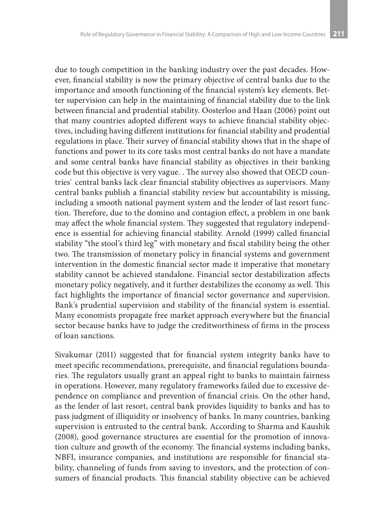due to tough competition in the banking industry over the past decades. However, financial stability is now the primary objective of central banks due to the importance and smooth functioning of the financial system's key elements. Better supervision can help in the maintaining of financial stability due to the link between financial and prudential stability. Oosterloo and Haan (2006) point out that many countries adopted different ways to achieve financial stability objectives, including having different institutions for financial stability and prudential regulations in place. Their survey of financial stability shows that in the shape of functions and power to its core tasks most central banks do not have a mandate and some central banks have financial stability as objectives in their banking code but this objective is very vague. . The survey also showed that OECD countries` central banks lack clear financial stability objectives as supervisors. Many central banks publish a financial stability review but accountability is missing, including a smooth national payment system and the lender of last resort function. Therefore, due to the domino and contagion effect, a problem in one bank may affect the whole financial system. They suggested that regulatory independence is essential for achieving financial stability. Arnold (1999) called financial stability "the stool's third leg" with monetary and fiscal stability being the other two. The transmission of monetary policy in financial systems and government intervention in the domestic financial sector made it imperative that monetary stability cannot be achieved standalone. Financial sector destabilization affects monetary policy negatively, and it further destabilizes the economy as well. This fact highlights the importance of financial sector governance and supervision. Bank's prudential supervision and stability of the financial system is essential. Many economists propagate free market approach everywhere but the financial sector because banks have to judge the creditworthiness of firms in the process of loan sanctions.

Sivakumar (2011) suggested that for financial system integrity banks have to meet specific recommendations, prerequisite, and financial regulations boundaries. The regulators usually grant an appeal right to banks to maintain fairness in operations. However, many regulatory frameworks failed due to excessive dependence on compliance and prevention of financial crisis. On the other hand, as the lender of last resort, central bank provides liquidity to banks and has to pass judgment of illiquidity or insolvency of banks. In many countries, banking supervision is entrusted to the central bank. According to Sharma and Kaushik (2008), good governance structures are essential for the promotion of innovation culture and growth of the economy. The financial systems including banks, NBFI, insurance companies, and institutions are responsible for financial stability, channeling of funds from saving to investors, and the protection of consumers of financial products. This financial stability objective can be achieved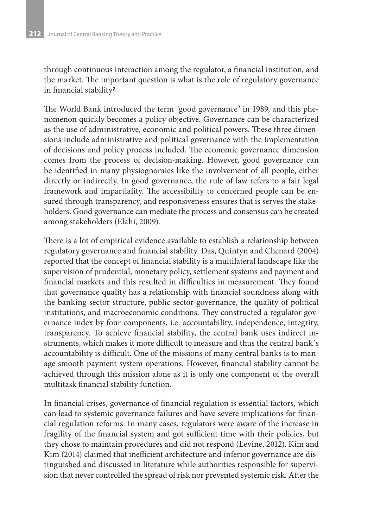through continuous interaction among the regulator, a financial institution, and the market. The important question is what is the role of regulatory governance in financial stability?

The World Bank introduced the term "good governance" in 1989, and this phenomenon quickly becomes a policy objective. Governance can be characterized as the use of administrative, economic and political powers. These three dimensions include administrative and political governance with the implementation of decisions and policy process included. The economic governance dimension comes from the process of decision-making. However, good governance can be identified in many physiognomies like the involvement of all people, either directly or indirectly. In good governance, the rule of law refers to a fair legal framework and impartiality. The accessibility to concerned people can be ensured through transparency, and responsiveness ensures that is serves the stakeholders. Good governance can mediate the process and consensus can be created among stakeholders (Elahi, 2009).

There is a lot of empirical evidence available to establish a relationship between regulatory governance and financial stability. Das, Quintyn and Chenard (2004) reported that the concept of financial stability is a multilateral landscape like the supervision of prudential, monetary policy, settlement systems and payment and financial markets and this resulted in difficulties in measurement. They found that governance quality has a relationship with financial soundness along with the banking sector structure, public sector governance, the quality of political institutions, and macroeconomic conditions. They constructed a regulator governance index by four components, i.e. accountability, independence, integrity, transparency. To achieve financial stability, the central bank uses indirect instruments, which makes it more difficult to measure and thus the central bank`s accountability is difficult. One of the missions of many central banks is to manage smooth payment system operations. However, financial stability cannot be achieved through this mission alone as it is only one component of the overall multitask financial stability function.

In financial crises, governance of financial regulation is essential factors, which can lead to systemic governance failures and have severe implications for financial regulation reforms. In many cases, regulators were aware of the increase in fragility of the financial system and got sufficient time with their policies, but they chose to maintain procedures and did not respond (Levine, 2012). Kim and Kim (2014) claimed that inefficient architecture and inferior governance are distinguished and discussed in literature while authorities responsible for supervision that never controlled the spread of risk nor prevented systemic risk. After the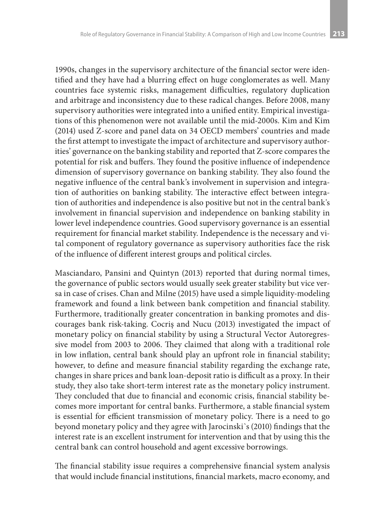1990s, changes in the supervisory architecture of the financial sector were identified and they have had a blurring effect on huge conglomerates as well. Many countries face systemic risks, management difficulties, regulatory duplication and arbitrage and inconsistency due to these radical changes. Before 2008, many supervisory authorities were integrated into a unified entity. Empirical investigations of this phenomenon were not available until the mid-2000s. Kim and Kim (2014) used Z-score and panel data on 34 OECD members' countries and made the first attempt to investigate the impact of architecture and supervisory authorities' governance on the banking stability and reported that Z-score compares the potential for risk and buffers. They found the positive influence of independence dimension of supervisory governance on banking stability. They also found the negative influence of the central bank's involvement in supervision and integration of authorities on banking stability. The interactive effect between integration of authorities and independence is also positive but not in the central bank's involvement in financial supervision and independence on banking stability in lower level independence countries. Good supervisory governance is an essential requirement for financial market stability. Independence is the necessary and vital component of regulatory governance as supervisory authorities face the risk of the influence of different interest groups and political circles.

Masciandaro, Pansini and Quintyn (2013) reported that during normal times, the governance of public sectors would usually seek greater stability but vice versa in case of crises. Chan and Milne (2015) have used a simple liquidity-modeling framework and found a link between bank competition and financial stability. Furthermore, traditionally greater concentration in banking promotes and discourages bank risk-taking. Cocriş and Nucu (2013) investigated the impact of monetary policy on financial stability by using a Structural Vector Autoregressive model from 2003 to 2006. They claimed that along with a traditional role in low inflation, central bank should play an upfront role in financial stability; however, to define and measure financial stability regarding the exchange rate, changes in share prices and bank loan-deposit ratio is difficult as a proxy. In their study, they also take short-term interest rate as the monetary policy instrument. They concluded that due to financial and economic crisis, financial stability becomes more important for central banks. Furthermore, a stable financial system is essential for efficient transmission of monetary policy. There is a need to go beyond monetary policy and they agree with Jarocinski`s (2010) findings that the interest rate is an excellent instrument for intervention and that by using this the central bank can control household and agent excessive borrowings.

The financial stability issue requires a comprehensive financial system analysis that would include financial institutions, financial markets, macro economy, and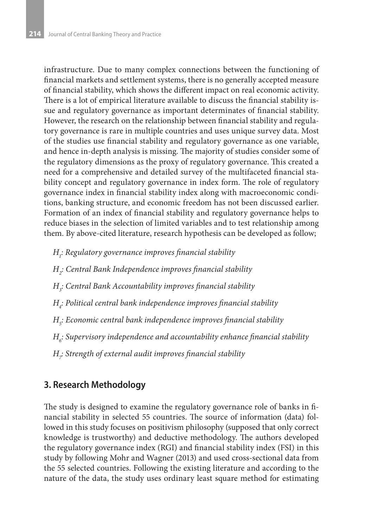infrastructure. Due to many complex connections between the functioning of financial markets and settlement systems, there is no generally accepted measure of financial stability, which shows the different impact on real economic activity. There is a lot of empirical literature available to discuss the financial stability issue and regulatory governance as important determinates of financial stability. However, the research on the relationship between financial stability and regulatory governance is rare in multiple countries and uses unique survey data. Most of the studies use financial stability and regulatory governance as one variable, and hence in-depth analysis is missing. The majority of studies consider some of the regulatory dimensions as the proxy of regulatory governance. This created a need for a comprehensive and detailed survey of the multifaceted financial stability concept and regulatory governance in index form. The role of regulatory governance index in financial stability index along with macroeconomic conditions, banking structure, and economic freedom has not been discussed earlier. Formation of an index of financial stability and regulatory governance helps to reduce biases in the selection of limited variables and to test relationship among them. By above-cited literature, research hypothesis can be developed as follow;

- *H1 : Regulatory governance improves financial stability*
- *H2 : Central Bank Independence improves financial stability*
- *H3 : Central Bank Accountability improves financial stability*
- *H4 : Political central bank independence improves financial stability*
- *H5 : Economic central bank independence improves financial stability*
- *H6 : Supervisory independence and accountability enhance financial stability*
- *H7 : Strength of external audit improves financial stability*

### **3. Research Methodology**

The study is designed to examine the regulatory governance role of banks in financial stability in selected 55 countries. The source of information (data) followed in this study focuses on positivism philosophy (supposed that only correct knowledge is trustworthy) and deductive methodology. The authors developed the regulatory governance index (RGI) and financial stability index (FSI) in this study by following Mohr and Wagner (2013) and used cross-sectional data from the 55 selected countries. Following the existing literature and according to the nature of the data, the study uses ordinary least square method for estimating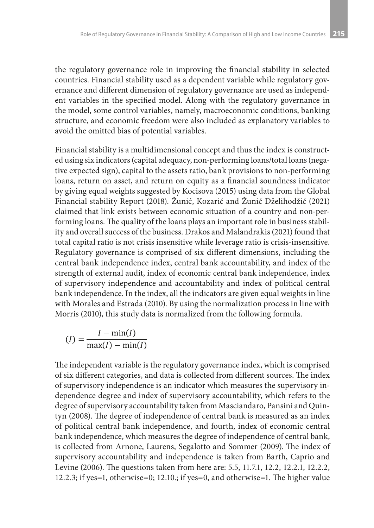the regulatory governance role in improving the financial stability in selected countries. Financial stability used as a dependent variable while regulatory governance and different dimension of regulatory governance are used as independent variables in the specified model. Along with the regulatory governance in the model, some control variables, namely, macroeconomic conditions, banking structure, and economic freedom were also included as explanatory variables to avoid the omitted bias of potential variables.

Financial stability is a multidimensional concept and thus the index is constructed using six indicators (capital adequacy, non-performing loans/total loans (negative expected sign), capital to the assets ratio, bank provisions to non-performing loans, return on asset, and return on equity as a financial soundness indicator by giving equal weights suggested by Kocisova (2015) using data from the Global Financial stability Report (2018). Žunić, Kozarić and Žunić Dželihodžić (2021) claimed that link exists between economic situation of a country and non-performing loans. The quality of the loans plays an important role in business stability and overall success of the business. Drakos and Malandrakis (2021) found that total capital ratio is not crisis insensitive while leverage ratio is crisis-insensitive. Regulatory governance is comprised of six different dimensions, including the central bank independence index, central bank accountability, and index of the strength of external audit, index of economic central bank independence, index of supervisory independence and accountability and index of political central bank independence. In the index, all the indicators are given equal weights in line with Morales and Estrada (2010). By using the normalization process in line with Morris (2010), this study data is normalized from the following formula.

$$
(I) = \frac{I - \min(I)}{\max(I) - \min(I)}
$$

The independent variable is the regulatory governance index, which is comprised of six different categories, and data is collected from different sources. The index of supervisory independence is an indicator which measures the supervisory independence degree and index of supervisory accountability, which refers to the degree of supervisory accountability taken from Masciandaro, Pansini and Quintyn (2008). The degree of independence of central bank is measured as an index of political central bank independence, and fourth, index of economic central bank independence, which measures the degree of independence of central bank, is collected from Arnone, Laurens, Segalotto and Sommer (2009). The index of supervisory accountability and independence is taken from Barth, Caprio and Levine (2006). The questions taken from here are: 5.5, 11.7.1, 12.2, 12.2.1, 12.2.2, 12.2.3; if yes=1, otherwise=0; 12.10.; if yes=0, and otherwise=1. The higher value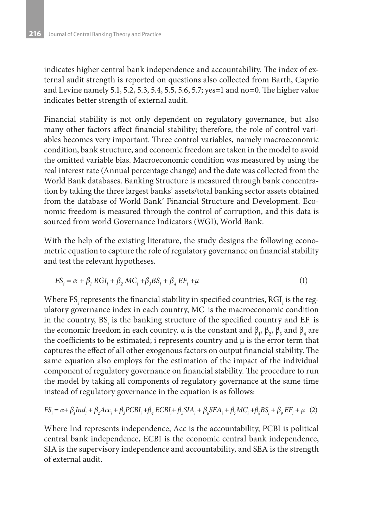indicates higher central bank independence and accountability. The index of external audit strength is reported on questions also collected from Barth, Caprio and Levine namely 5.1, 5.2, 5.3, 5.4, 5.5, 5.6, 5.7; yes=1 and no=0. The higher value indicates better strength of external audit.

Financial stability is not only dependent on regulatory governance, but also many other factors affect financial stability; therefore, the role of control variables becomes very important. Three control variables, namely macroeconomic condition, bank structure, and economic freedom are taken in the model to avoid the omitted variable bias. Macroeconomic condition was measured by using the real interest rate (Annual percentage change) and the date was collected from the World Bank databases. Banking Structure is measured through bank concentration by taking the three largest banks' assets/total banking sector assets obtained from the database of World Bank' Financial Structure and Development. Economic freedom is measured through the control of corruption, and this data is sourced from world Governance Indicators (WGI), World Bank.

With the help of the existing literature, the study designs the following econometric equation to capture the role of regulatory governance on financial stability and test the relevant hypotheses.

$$
FS_i = \alpha + \beta_1 RGI_i + \beta_2 MC_i + \beta_3 BS_i + \beta_4 EF_i + \mu
$$
\n(1)

Where FS $_{\rm i}$  represents the financial stability in specified countries, RGI $_{\rm i}$  is the regulatory governance index in each country,  $\mathrm{MC}_\mathrm{i}$  is the macroeconomic condition in the country,  $BS_i$  is the banking structure of the specified country and  $EF_i$  is the economic freedom in each country.  $\alpha$  is the constant and  $\beta_1$ ,  $\beta_2$ ,  $\beta_3$  and  $\beta_4$  are the coefficients to be estimated; i represents country and µ is the error term that captures the effect of all other exogenous factors on output financial stability. The same equation also employs for the estimation of the impact of the individual component of regulatory governance on financial stability. The procedure to run the model by taking all components of regulatory governance at the same time instead of regulatory governance in the equation is as follows:

$$
FS_i = \alpha + \beta_1 Ind_i + \beta_2 Acc_i + \beta_3 PCBI_i + \beta_4 ECBI_i + \beta_5 SIA_i + \beta_6 SEA_i + \beta_7 MC_i + \beta_8 BS_i + \beta_9 EF_i + \mu
$$
 (2)

Where Ind represents independence, Acc is the accountability, PCBI is political central bank independence, ECBI is the economic central bank independence, SIA is the supervisory independence and accountability, and SEA is the strength of external audit.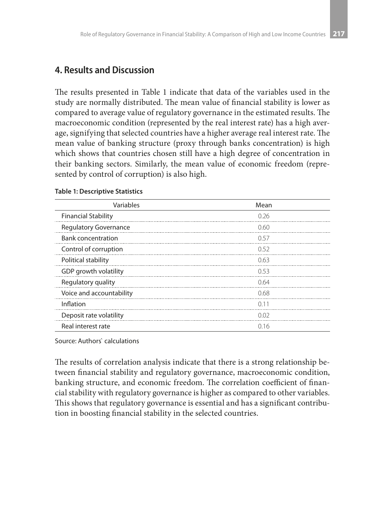#### **4. Results and Discussion**

The results presented in Table 1 indicate that data of the variables used in the study are normally distributed. The mean value of financial stability is lower as compared to average value of regulatory governance in the estimated results. The macroeconomic condition (represented by the real interest rate) has a high average, signifying that selected countries have a higher average real interest rate. The mean value of banking structure (proxy through banks concentration) is high which shows that countries chosen still have a high degree of concentration in their banking sectors. Similarly, the mean value of economic freedom (represented by control of corruption) is also high.

| Variables                    | Mean |
|------------------------------|------|
| <b>Financial Stability</b>   | 0.26 |
| <b>Regulatory Governance</b> | 0.60 |
| <b>Bank concentration</b>    | 0.57 |
| Control of corruption        | 0.52 |
| Political stability          | 0.63 |
| GDP growth volatility        | 0.53 |
| Regulatory quality           | 0.64 |
| Voice and accountability     | 0.68 |
| Inflation                    | 0.11 |
| Deposit rate volatility      | 0.02 |
| Real interest rate           | 016  |

#### **Table 1: Descriptive Statistics**

Source: Authors` calculations

The results of correlation analysis indicate that there is a strong relationship between financial stability and regulatory governance, macroeconomic condition, banking structure, and economic freedom. The correlation coefficient of financial stability with regulatory governance is higher as compared to other variables. This shows that regulatory governance is essential and has a significant contribution in boosting financial stability in the selected countries.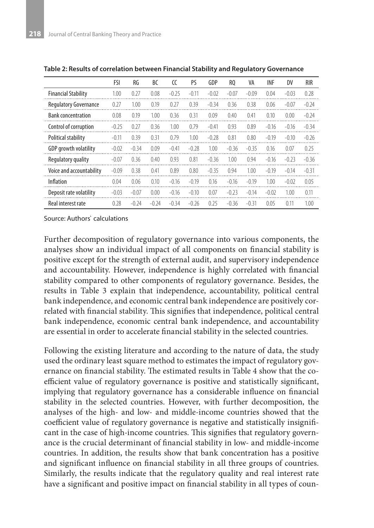|                              | FSI     | RG      | BC      | $\epsilon$ | PS      | GDP     | R <sub>0</sub> | VA      | <b>INF</b> | DV      | <b>RIR</b> |
|------------------------------|---------|---------|---------|------------|---------|---------|----------------|---------|------------|---------|------------|
| <b>Financial Stability</b>   | 1.00    | 0.27    | 0.08    | $-0.25$    | $-0.11$ | $-0.02$ | $-0.07$        | $-0.09$ | 0.04       | $-0.03$ | 0.28       |
| <b>Regulatory Governance</b> | 0.27    | 1.00    | 0.19    | 0.27       | 0.39    | $-0.34$ | 0.36           | 0.38    | 0.06       | $-0.07$ | $-0.24$    |
| <b>Bank concentration</b>    | 0.08    | 0.19    | 1.00    | 0.36       | 0.31    | 0.09    | 0.40           | 0.41    | 0.10       | 0.00    | $-0.24$    |
| Control of corruption        | $-0.25$ | 0.27    | 0.36    | 1.00       | 0.79    | $-0.41$ | 0.93           | 0.89    | $-0.16$    | $-0.16$ | $-0.34$    |
| Political stability          | $-0.11$ | 0.39    | 0.31    | 0.79       | 1.00    | $-0.28$ | 0.81           | 0.80    | $-0.19$    | $-0.10$ | $-0.26$    |
| GDP growth volatility        | $-0.02$ | $-0.34$ | 0.09    | $-0.41$    | $-0.28$ | 1.00    | $-0.36$        | $-0.35$ | 0.16       | 0.07    | 0.25       |
| Regulatory quality           | $-0.07$ | 0.36    | 0.40    | 0.93       | 0.81    | $-0.36$ | 1.00           | 0.94    | $-0.16$    | $-0.23$ | $-0.36$    |
| Voice and accountability     | $-0.09$ | 0.38    | 0.41    | 0.89       | 0.80    | $-0.35$ | 0.94           | 1.00    | $-0.19$    | $-0.14$ | $-0.31$    |
| <b>Inflation</b>             | 0.04    | 0.06    | 0.10    | $-0.16$    | $-0.19$ | 0.16    | $-0.16$        | $-0.19$ | 1.00       | $-0.02$ | 0.05       |
| Deposit rate volatility      | $-0.03$ | $-0.07$ | 0.00    | $-0.16$    | $-0.10$ | 0.07    | $-0.23$        | $-0.14$ | $-0.02$    | 1.00    | 0.11       |
| Real interest rate           | 0.28    | $-0.24$ | $-0.24$ | $-0.34$    | $-0.26$ | 0.25    | $-0.36$        | $-0.31$ | 0.05       | 0.11    | 1.00       |

**Table 2: Results of correlation between Financial Stability and Regulatory Governance**

Source: Authors` calculations

Further decomposition of regulatory governance into various components, the analyses show an individual impact of all components on financial stability is positive except for the strength of external audit, and supervisory independence and accountability. However, independence is highly correlated with financial stability compared to other components of regulatory governance. Besides, the results in Table 3 explain that independence, accountability, political central bank independence, and economic central bank independence are positively correlated with financial stability. This signifies that independence, political central bank independence, economic central bank independence, and accountability are essential in order to accelerate financial stability in the selected countries.

Following the existing literature and according to the nature of data, the study used the ordinary least square method to estimates the impact of regulatory governance on financial stability. The estimated results in Table 4 show that the coefficient value of regulatory governance is positive and statistically significant, implying that regulatory governance has a considerable influence on financial stability in the selected countries. However, with further decomposition, the analyses of the high- and low- and middle-income countries showed that the coefficient value of regulatory governance is negative and statistically insignificant in the case of high-income countries. This signifies that regulatory governance is the crucial determinant of financial stability in low- and middle-income countries. In addition, the results show that bank concentration has a positive and significant influence on financial stability in all three groups of countries. Similarly, the results indicate that the regulatory quality and real interest rate have a significant and positive impact on financial stability in all types of coun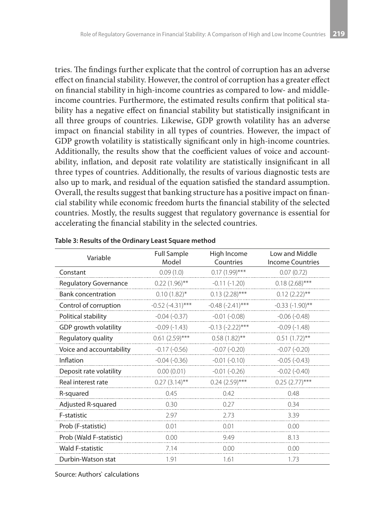tries. The findings further explicate that the control of corruption has an adverse effect on financial stability. However, the control of corruption has a greater effect on financial stability in high-income countries as compared to low- and middleincome countries. Furthermore, the estimated results confirm that political stability has a negative effect on financial stability but statistically insignificant in all three groups of countries. Likewise, GDP growth volatility has an adverse impact on financial stability in all types of countries. However, the impact of GDP growth volatility is statistically significant only in high-income countries. Additionally, the results show that the coefficient values of voice and accountability, inflation, and deposit rate volatility are statistically insignificant in all three types of countries. Additionally, the results of various diagnostic tests are also up to mark, and residual of the equation satisfied the standard assumption. Overall, the results suggest that banking structure has a positive impact on financial stability while economic freedom hurts the financial stability of the selected countries. Mostly, the results suggest that regulatory governance is essential for accelerating the financial stability in the selected countries.

| Variable                  | <b>Full Sample</b><br>Model | High Income<br>Countries | Low and Middle<br><b>Income Countries</b> |
|---------------------------|-----------------------------|--------------------------|-------------------------------------------|
| Constant                  | 0.09(1.0)                   | $0.17(1.99)$ ***         | 0.07(0.72)                                |
| Regulatory Governance     | $0.22(1.96)$ **             | $-0.11(-1.20)$           | $0.18(2.68)$ ***                          |
| <b>Bank concentration</b> | $0.10(1.82)$ *              | $0.13(2.28)$ ***         | $0.12(2.22)$ **                           |
| Control of corruption     | $-0.52$ $(-4.31)$ ***       | $-0.48$ $(-2.41)$ ***    | $-0.33(-1.90)$ **                         |
| Political stability       | $-0.04(-0.37)$              | $-0.01$ $(-0.08)$        | $-0.06(-0.48)$                            |
| GDP growth volatility     | $-0.09(-1.43)$              | $-0.13 (-2.22)$ ***      | $-0.09(-1.48)$                            |
| Regulatory quality        | $0.61(2.59)$ ***            | $0.58(1.82)$ **          | $0.51(1.72)$ **                           |
| Voice and accountability  | $-0.17(-0.56)$              | $-0.07$ $(-0.20)$        | $-0.07(-0.20)$                            |
| Inflation                 | $-0.04(-0.36)$              | $-0.01(-0.10)$           | $-0.05(-0.43)$                            |
| Deposit rate volatility   | 0.00(0.01)                  | $-0.01(-0.26)$           | $-0.02$ $(-0.40)$                         |
| Real interest rate        | $0.27(3.14)$ **             | $0.24(2.59)$ ***         | $0.25(2.77)$ ***                          |
| R-squared                 | 0.45                        | 042                      | 0.48                                      |
| Adjusted R-squared        | 0.30                        | 0.27                     | 0.34                                      |
| F-statistic               | 2.97                        | 2.73                     | 3.39                                      |
| Prob (F-statistic)        | 0.01                        | 0.01                     | 0.00                                      |
| Prob (Wald F-statistic)   | 0.00                        | 9.49                     | 8.13                                      |
| <b>Wald F-statistic</b>   | 7.14                        | 0.00                     | 0.00                                      |
| Durbin-Watson stat        | 1.91                        | 1.61                     | 1.73                                      |

**Table 3: Results of the Ordinary Least Square method**

Source: Authors` calculations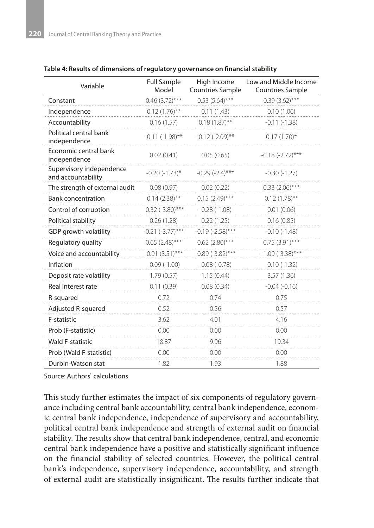| Table 4: Results of dimensions of regulatory governance on financial stability |  |
|--------------------------------------------------------------------------------|--|
|--------------------------------------------------------------------------------|--|

| Variable                                       | <b>Full Sample</b><br>Model | High Income<br><b>Countries Sample</b> | Low and Middle Income<br><b>Countries Sample</b> |  |
|------------------------------------------------|-----------------------------|----------------------------------------|--------------------------------------------------|--|
| Constant                                       | $0.46(3.72)$ ***            | $0.53(5.64)$ ***                       | $0.39(3.62)$ ***                                 |  |
| Independence                                   | $0.12(1.76)$ <sup>**</sup>  | 0.11(1.43)                             | 0.10(1.06)                                       |  |
| Accountability                                 | 0.16(1.57)                  | $0.18(1.87)$ **                        | $-0.11(-1.38)$                                   |  |
| Political central bank<br>independence         | $-0.11(-1.98)$ **           | $-0.12$ $(-2.09)$ **                   | $0.17(1.70)$ *                                   |  |
| Economic central bank<br>independence          | 0.02(0.41)                  | 0.05(0.65)                             | $-0.18(-2.72)$ ***                               |  |
| Supervisory independence<br>and accountability | $-0.20$ $(-1.73)$ *         | $-0.29$ $(-2.4)$ ***                   | $-0.30(-1.27)$                                   |  |
| The strength of external audit                 | 0.08(0.97)                  | 0.02(0.22)                             | $0.33(2.06)$ ***                                 |  |
| <b>Bank concentration</b>                      | $0.14(2.38)$ **             | $0.15(2.49)$ ***                       | $0.12(1.78)$ **                                  |  |
| Control of corruption                          | $-0.32$ ( $-3.80$ )***      | $-0.28(-1.08)$                         | 0.01(0.06)                                       |  |
| Political stability                            | 0.26(1.28)                  | 0.22(1.25)                             | 0.16(0.85)                                       |  |
| GDP growth volatility                          | $-0.21$ $(-3.77)$ ***       | $-0.19$ $(-2.58)$ ***                  | $-0.10(-1.48)$                                   |  |
| Regulatory quality                             | $0.65(2.48)$ ***            | $0.62$ (2.80)***                       | $0.75(3.91)$ ***                                 |  |
| Voice and accountability                       | $-0.91(3.51)$ ***           | $-0.89(-3.82)$ ***                     | $-1.09$ ( $-3.38$ )***                           |  |
| Inflation                                      | $-0.09(-1.00)$              | $-0.08(-0.78)$                         | $-0.10(-1.32)$                                   |  |
| Deposit rate volatility                        | 1.79(0.57)                  | 1.15(0.44)                             | 3.57(1.36)                                       |  |
| Real interest rate                             | 0.11(0.39)                  | 0.08(0.34)                             | $-0.04(-0.16)$                                   |  |
| R-squared                                      | 0.72                        | 0.74                                   | 0.75                                             |  |
| Adjusted R-squared                             | 0.52                        | 0.56                                   | 0.57                                             |  |
| F-statistic                                    | 3.62                        | 4.01                                   | 4.16                                             |  |
| Prob (F-statistic)                             | 0.00                        | 0.00                                   | 0.00                                             |  |
| <b>Wald F-statistic</b>                        | 18.87                       | 9.96                                   | 19.34                                            |  |
| Prob (Wald F-statistic)                        | 0.00                        | 0.00                                   | 0.00                                             |  |
| Durbin-Watson stat                             | 1.82                        | 1.93                                   | 1.88                                             |  |

Source: Authors` calculations

This study further estimates the impact of six components of regulatory governance including central bank accountability, central bank independence, economic central bank independence, independence of supervisory and accountability, political central bank independence and strength of external audit on financial stability. The results show that central bank independence, central, and economic central bank independence have a positive and statistically significant influence on the financial stability of selected countries. However, the political central bank's independence, supervisory independence, accountability, and strength of external audit are statistically insignificant. The results further indicate that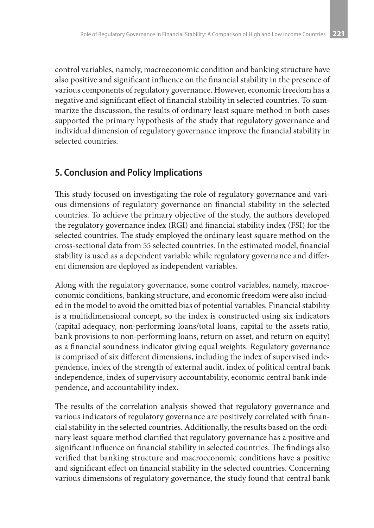control variables, namely, macroeconomic condition and banking structure have also positive and significant influence on the financial stability in the presence of various components of regulatory governance. However, economic freedom has a negative and significant effect of financial stability in selected countries. To summarize the discussion, the results of ordinary least square method in both cases supported the primary hypothesis of the study that regulatory governance and individual dimension of regulatory governance improve the financial stability in selected countries.

### **5. Conclusion and Policy Implications**

This study focused on investigating the role of regulatory governance and various dimensions of regulatory governance on financial stability in the selected countries. To achieve the primary objective of the study, the authors developed the regulatory governance index (RGI) and financial stability index (FSI) for the selected countries. The study employed the ordinary least square method on the cross-sectional data from 55 selected countries. In the estimated model, financial stability is used as a dependent variable while regulatory governance and different dimension are deployed as independent variables.

Along with the regulatory governance, some control variables, namely, macroeconomic conditions, banking structure, and economic freedom were also included in the model to avoid the omitted bias of potential variables. Financial stability is a multidimensional concept, so the index is constructed using six indicators (capital adequacy, non-performing loans/total loans, capital to the assets ratio, bank provisions to non-performing loans, return on asset, and return on equity) as a financial soundness indicator giving equal weights. Regulatory governance is comprised of six different dimensions, including the index of supervised independence, index of the strength of external audit, index of political central bank independence, index of supervisory accountability, economic central bank independence, and accountability index.

The results of the correlation analysis showed that regulatory governance and various indicators of regulatory governance are positively correlated with financial stability in the selected countries. Additionally, the results based on the ordinary least square method clarified that regulatory governance has a positive and significant influence on financial stability in selected countries. The findings also verified that banking structure and macroeconomic conditions have a positive and significant effect on financial stability in the selected countries. Concerning various dimensions of regulatory governance, the study found that central bank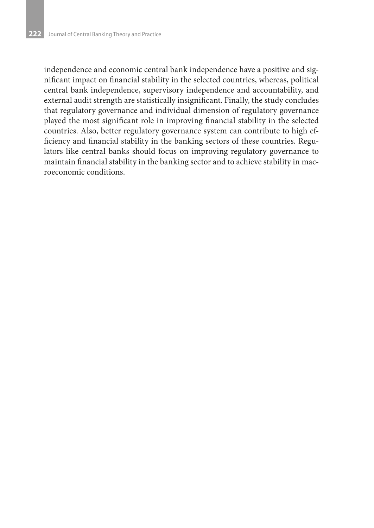independence and economic central bank independence have a positive and significant impact on financial stability in the selected countries, whereas, political central bank independence, supervisory independence and accountability, and external audit strength are statistically insignificant. Finally, the study concludes that regulatory governance and individual dimension of regulatory governance played the most significant role in improving financial stability in the selected countries. Also, better regulatory governance system can contribute to high efficiency and financial stability in the banking sectors of these countries. Regulators like central banks should focus on improving regulatory governance to maintain financial stability in the banking sector and to achieve stability in macroeconomic conditions.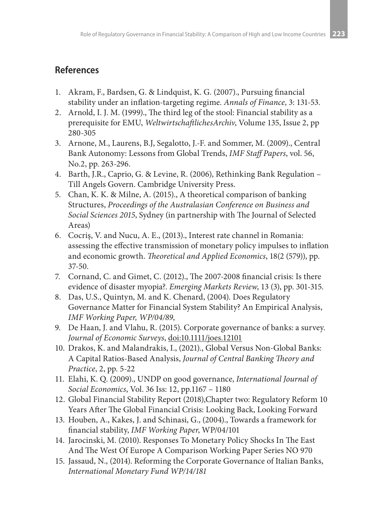## **References**

- 1. Akram, F., Bardsen, G. & Lindquist, K. G. (2007)., Pursuing financial stability under an inflation-targeting regime. *Annals of Finance*, 3: 131-53.
- 2. Arnold, I. J. M. (1999)., The third leg of the stool: Financial stability as a prerequisite for EMU, *WeltwirtschaftlichesArchiv*, Volume 135, Issue 2, pp 280-305
- 3. Arnone, M., Laurens, B.J, Segalotto, J.-F. and Sommer, M. (2009)., Central Bank Autonomy: Lessons from Global Trends, *IMF Staff Papers*, vol. 56, No.2, pp. 263-296.
- 4. Barth, J.R., Caprio, G. & Levine, R. (2006), Rethinking Bank Regulation Till Angels Govern. Cambridge University Press.
- 5. Chan, K. K. & Milne, A. (2015)., A theoretical comparison of banking Structures, *Proceedings of the Australasian Conference on Business and Social Sciences 2015*, Sydney (in partnership with The Journal of Selected Areas)
- 6. Cocriş, V. and Nucu, A. E., (2013)., Interest rate channel in Romania: assessing the effective transmission of monetary policy impulses to inflation and economic growth. *Theoretical and Applied Economics*, 18(2 (579)), pp. 37-50.
- 7. Cornand, C. and Gimet, C. (2012)., The 2007-2008 financial crisis: Is there evidence of disaster myopia?. *Emerging Markets Review*, 13 (3), pp. 301-315.
- 8. Das, U.S., Quintyn, M. and K. Chenard, (2004). Does Regulatory Governance Matter for Financial System Stability? An Empirical Analysis, *IMF Working Paper, WP/04/89*,
- 9. De Haan, J. and Vlahu, R. (2015). Corporate governance of banks: a survey. *Journal of Economic Surveys*, doi:10.1111/joes.12101
- 10. Drakos, K. and Malandrakis, I., (2021)., Global Versus Non-Global Banks: A Capital Ratios-Based Analysis, *Journal of Central Banking Theory and Practice*, 2, pp. 5-22
- 11. Elahi, K. Q. (2009)., UNDP on good governance, *International Journal of Social Economics*, Vol. 36 Iss: 12, pp.1167 – 1180
- 12. Global Financial Stability Report (2018),Chapter two: Regulatory Reform 10 Years After The Global Financial Crisis: Looking Back, Looking Forward
- 13. Houben, A., Kakes, J. and Schinasi, G., (2004)., Towards a framework for financial stability, *IMF Working Paper*, WP/04/101
- 14. Jarocinski, M. (2010). Responses To Monetary Policy Shocks In The East And The West Of Europe A Comparison Working Paper Series NO 970
- 15. Jassaud, N., (2014). Reforming the Corporate Governance of Italian Banks, *International Monetary Fund WP/14/181*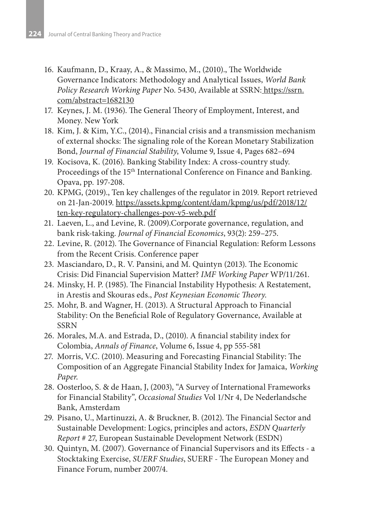- 16. Kaufmann, D., Kraay, A., & Massimo, M., (2010)., The Worldwide Governance Indicators: Methodology and Analytical Issues, *World Bank Policy Research Working Paper* No. 5430, Available at SSRN: https://ssrn. com/abstract=1682130
- 17. Keynes, J. M. (1936). The General Theory of Employment, Interest, and Money. New York
- 18. Kim, J. & Kim, Y.C., (2014)., Financial crisis and a transmission mechanism of external shocks: The signaling role of the Korean Monetary Stabilization Bond, *Journal of Financial Stability*, Volume 9, Issue 4, Pages 682–694
- 19. Kocisova, K. (2016). Banking Stability Index: A cross-country study. Proceedings of the 15<sup>th</sup> International Conference on Finance and Banking. Opava, pp. 197-208.
- 20. KPMG, (2019)., Ten key challenges of the regulator in 2019. Report retrieved on 21-Jan-20019. https://assets.kpmg/content/dam/kpmg/us/pdf/2018/12/ ten-key-regulatory-challenges-pov-v5-web.pdf
- 21. Laeven, L., and Levine, R. (2009).Corporate governance, regulation, and bank risk-taking. *Journal of Financial Economics*, 93(2): 259–275.
- 22. Levine, R. (2012). The Governance of Financial Regulation: Reform Lessons from the Recent Crisis. Conference paper
- 23. Masciandaro, D., R. V. Pansini, and M. Quintyn (2013). The Economic Crisis: Did Financial Supervision Matter? *IMF Working Paper* WP/11/261.
- 24. Minsky, H. P. (1985). The Financial Instability Hypothesis: A Restatement, in Arestis and Skouras eds., *Post Keynesian Economic Theory*.
- 25. Mohr, B. and Wagner, H. (2013). A Structural Approach to Financial Stability: On the Beneficial Role of Regulatory Governance, Available at **SSRN**
- 26. Morales, M.A. and Estrada, D., (2010). A financial stability index for Colombia, *Annals of Finance*, Volume 6, Issue 4, pp 555-581
- 27. Morris, V.C. (2010). Measuring and Forecasting Financial Stability: The Composition of an Aggregate Financial Stability Index for Jamaica, *Working Paper*.
- 28. Oosterloo, S. & de Haan, J, (2003), "A Survey of International Frameworks for Financial Stability", *Occasional Studies* Vol 1/Nr 4, De Nederlandsche Bank, Amsterdam
- 29. Pisano, U., Martinuzzi, A. & Bruckner, B. (2012). The Financial Sector and Sustainable Development: Logics, principles and actors, *ESDN Quarterly Report* # 27, European Sustainable Development Network (ESDN)
- 30. Quintyn, M. (2007). Governance of Financial Supervisors and its Effects a Stocktaking Exercise, *SUERF Studies*, SUERF - The European Money and Finance Forum, number 2007/4.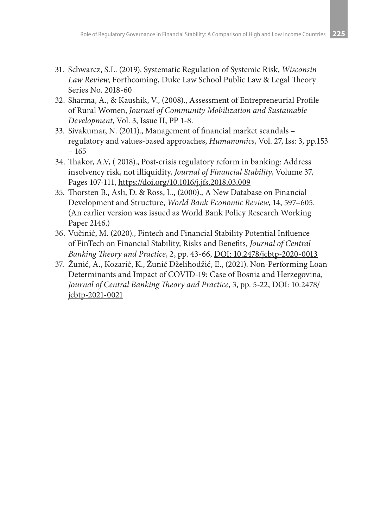- 31. Schwarcz, S.L. (2019). Systematic Regulation of Systemic Risk, *Wisconsin Law Review*, Forthcoming, Duke Law School Public Law & Legal Theory Series No. 2018-60
- 32. Sharma, A., & Kaushik, V., (2008)., Assessment of Entrepreneurial Profile of Rural Women, *Journal of Community Mobilization and Sustainable Development*, Vol. 3, Issue II, PP 1-8.
- 33. Sivakumar, N. (2011)., Management of financial market scandals regulatory and values-based approaches, *Humanomics*, Vol. 27, Iss: 3, pp.153 – 165
- 34. Thakor, A.V, ( 2018)., Post-crisis regulatory reform in banking: Address insolvency risk, not illiquidity, *Journal of Financial Stability*, Volume 37, Pages 107-111, https://doi.org/10.1016/j.jfs.2018.03.009
- 35. Thorsten B., Aslı, D. & Ross, L., (2000)., A New Database on Financial Development and Structure, *World Bank Economic Review*, 14, 597–605. (An earlier version was issued as World Bank Policy Research Working Paper 2146.)
- 36. Vučinić, M. (2020)., Fintech and Financial Stability Potential Influence of FinTech on Financial Stability, Risks and Benefits, *Journal of Central Banking Theory and Practice*, 2, pp. 43-66, DOI: 10.2478/jcbtp-2020-0013
- 37. Žunić, A., Kozarić, K., Žunić Dželihodžić, E., (2021). Non-Performing Loan Determinants and Impact of COVID-19: Case of Bosnia and Herzegovina, *Journal of Central Banking Theory and Practice*, 3, pp. 5-22, DOI: 10.2478/ jcbtp-2021-0021